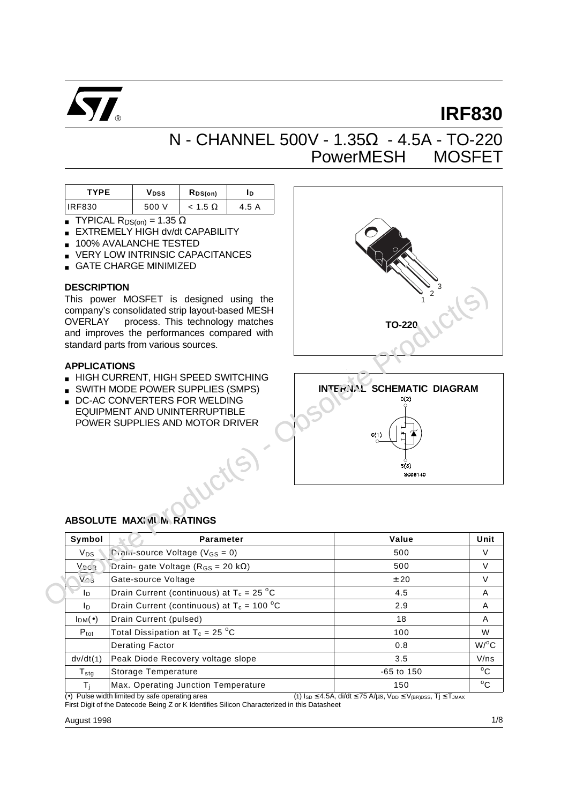

# **IRF830**

# N - CHANNEL 500V - 1.35Ω - 4.5A - TO-220 PowerMESHTM MOSFET

| <b>TYPE</b>   | V <sub>DSS</sub> | $R_{DS(on)}$   | חו    |
|---------------|------------------|----------------|-------|
| <b>IRF830</b> | 500 V            | $< 1.5 \Omega$ | 4.5 A |

- **TYPICAL R**<sub>DS(on)</sub> = 1.35  $\Omega$
- **EXTREMELY HIGH dv/dt CAPABILITY**
- 100% AVALANCHE TESTED
- VERY LOW INTRINSIC CAPACITANCES
- GATE CHARGE MINIMIZED

#### **DESCRIPTION**

This power MOSFET is designed using the company's consolidated strip layout-based MESH OVERLAY<sup>™</sup> process. This technology matches and improves the performances compared with standard parts from various sources.

#### **APPLICATIONS**

- HIGH CURRENT, HIGH SPEED SWITCHING
- SWITH MODE POWER SUPPLIES (SMPS)
- DC-AC CONVERTERS FOR WELDING EQUIPMENT AND UNINTERRUPTIBLE POWER SUPPLIES AND MOTOR DRIVER



## **ABSOLUTE MAXIMUM RATINGS**

| Symbol            | <b>Parameter</b>                                        | Value        | Unit               |
|-------------------|---------------------------------------------------------|--------------|--------------------|
| $V_{DS}$          | $P_{\text{full}}$ -source Voltage (V <sub>GS</sub> = 0) | 500          | V                  |
| <b>Vngs</b>       | Drain- gate Voltage ( $R_{GS}$ = 20 k $\Omega$ )        | 500          | V                  |
| $V \cap S$        | Gate-source Voltage                                     | ± 20         | $\vee$             |
| I <sub>D</sub>    | Drain Current (continuous) at $T_c = 25 °C$             | 4.5          | A                  |
| I <sub>D</sub>    | Drain Current (continuous) at $T_c = 100 °C$            | 2.9          | A                  |
| $I_{DM}(\bullet)$ | Drain Current (pulsed)                                  | 18           | A                  |
| $P_{\text{tot}}$  | Total Dissipation at $T_c = 25 °C$                      | 100          | W                  |
|                   | <b>Derating Factor</b>                                  | 0.8          | $W$ / $^{\circ}$ C |
| dv/dt(1)          | Peak Diode Recovery voltage slope                       | 3.5          | V/ns               |
| $T_{\text{stg}}$  | Storage Temperature                                     | $-65$ to 150 | $^{\circ}$ C       |
| Τì                | Max. Operating Junction Temperature                     | 150          | $^{\circ}$ C       |

(•) Pulse width limited by safe operating area (1) I<sub>SD</sub> ≤ 4.5A, di/dt ≤ 75 A/µs, V<sub>DD</sub> ≤ V<sub>(BR)DSS</sub>, Tj ≤ T<sub>JMAX</sub> First Digit of the Datecode Being Z or K Identifies Silicon Characterized in this Datasheet

August 1998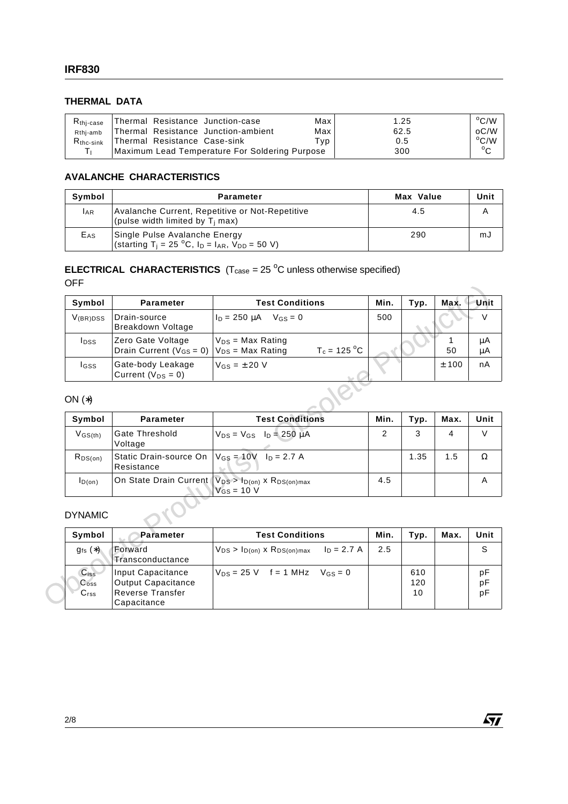# **THERMAL DATA**

| $R_{\rm thi-case}$    | Thermal Resistance Junction-case               | Max | 1.25 | $^{\circ}$ C/W |
|-----------------------|------------------------------------------------|-----|------|----------------|
| Rthi-amb              | Thermal Resistance Junction-ambient            | Max | 62.5 | oC/W           |
| $R_{\text{thc-sink}}$ | Thermal Resistance Case-sink                   | Tvp | 0.5  | $\rm ^{o}C/W$  |
|                       | Maximum Lead Temperature For Soldering Purpose |     | 300  | $\sim$         |

## **AVALANCHE CHARACTERISTICS**

| Symbol          | <b>Parameter</b>                                                                                                              | Max Value | Unit |
|-----------------|-------------------------------------------------------------------------------------------------------------------------------|-----------|------|
| <b>LAR</b>      | Avalanche Current, Repetitive or Not-Repetitive<br>(pulse width limited by T <sub>i</sub> max)                                | 4.5       |      |
| E <sub>AS</sub> | Single Pulse Avalanche Energy<br>(starting T <sub>i</sub> = 25 °C, I <sub>D</sub> = I <sub>AR</sub> , V <sub>DD</sub> = 50 V) | 290       | mJ   |

## **ELECTRICAL CHARACTERISTICS**  $(T_{\text{case}} = 25 \text{ °C}$  unless otherwise specified) OFF

| Symbol                                                  | <b>Parameter</b>                                                                  | <b>Test Conditions</b>                                               | Min. | Typ.             | Max.    | Unit           |
|---------------------------------------------------------|-----------------------------------------------------------------------------------|----------------------------------------------------------------------|------|------------------|---------|----------------|
|                                                         |                                                                                   |                                                                      |      |                  |         |                |
| $V_{(BR)DSS}$                                           | Drain-source<br><b>Breakdown Voltage</b>                                          | $I_D = 250 \mu A$ V <sub>GS</sub> = 0                                | 500  |                  |         | $\vee$         |
| <b>l</b> pss                                            | Zero Gate Voltage<br>Drain Current ( $V_{GS} = 0$ )                               | $V_{DS}$ = Max Rating<br>$T_c = 125 °C$<br>$V_{DS}$ = Max Rating     |      |                  | 1<br>50 | μA<br>μA       |
| lgss                                                    | Gate-body Leakage<br>Current ( $V_{DS} = 0$ )                                     | $V$ <sub>GS</sub> = $\pm$ 20 V                                       |      |                  | ± 100   | nA             |
| ON $(*)$                                                |                                                                                   |                                                                      |      |                  |         |                |
| Symbol                                                  | <b>Parameter</b>                                                                  | <b>Test Conditions</b>                                               | Min. | Typ.             | Max.    | Unit           |
| $V$ <sub>GS<math>(th)</math></sub>                      | Gate Threshold<br>Voltage                                                         | $V_{DS} = V_{GS}$ $I_D = 250 \mu A$                                  | 2    | 3                | 4       | $\vee$         |
| $R_{DS(on)}$                                            | Static Drain-source On<br>Resistance                                              | $V_{GS} = 10V$ $I_D = 2.7 A$                                         |      | 1.35             | 1.5     | $\Omega$       |
| $I_{D(on)}$                                             | On State Drain Current                                                            | $V_{DS}$ > $I_{D(0n)}$ x $R_{DS(0n)max}$<br>$V$ <sub>GS</sub> = 10 V | 4.5  |                  |         | A              |
| <b>DYNAMIC</b>                                          |                                                                                   |                                                                      |      |                  |         |                |
| Symbol                                                  | <b>Parameter</b>                                                                  | <b>Test Conditions</b>                                               | Min. | Typ.             | Max.    | Unit           |
| $g_{fs}(*)$                                             | Forward<br>Transconductance                                                       | $ln = 2.7 A$<br>$V_{DS} > I_{D(0n)}$ x $R_{DS(0n)max}$               | 2.5  |                  |         | S              |
| $C$ <sub>iss</sub><br>$C_{\rm oss}$<br>C <sub>rss</sub> | Input Capacitance<br><b>Output Capacitance</b><br>Reverse Transfer<br>Capacitance | $V_{DS} = 25 V$ f = 1 MHz $V_{GS} = 0$                               |      | 610<br>120<br>10 |         | pF<br>pF<br>pF |

#### ON (∗)

| Symbol       | <b>Parameter</b>                                                     | <b>Test Conditions</b>                                                               | Min. | Typ. | Max. | Unit |
|--------------|----------------------------------------------------------------------|--------------------------------------------------------------------------------------|------|------|------|------|
| $V$ GS(th)   | Gate Threshold<br>Voltage                                            | $V_{DS} = V_{GS}$ $I_D = 250 \mu A$                                                  |      | 3    | 4    |      |
| $R_{DS(on)}$ | Static Drain-source On $ V_{GS} = 10V$ $ _{D} = 2.7 A$<br>Resistance |                                                                                      |      | 1.35 | 1.5  |      |
| ID(on)       |                                                                      | On State Drain Current $ V_{DS} > I_{D(0n)} \times R_{DS(0n)max}$<br>$V_{GS}$ = 10 V | 4.5  |      |      |      |

#### DYNAMIC

| Symbol                                       | Parameter                                                                                | <b>Test Conditions</b>                                    | Min. | Tvp.             | Max. | Unit           |
|----------------------------------------------|------------------------------------------------------------------------------------------|-----------------------------------------------------------|------|------------------|------|----------------|
| $g_{fs}(*)$                                  | Forward<br>Transconductance                                                              | $I_D = 2.7 A$<br>$V_{DS}$ > $I_{D(on)}$ x $R_{DS(on)max}$ | 2.5  |                  |      | S              |
| Ciss<br>C <sub>oss</sub><br>C <sub>rss</sub> | Input Capacitance<br><b>Output Capacitance</b><br><b>Reverse Transfer</b><br>Capacitance | $V_{DS} = 25$ V f = 1 MHz $V_{GS} = 0$                    |      | 610<br>120<br>10 |      | pF<br>рF<br>рF |

 $\sqrt{M}$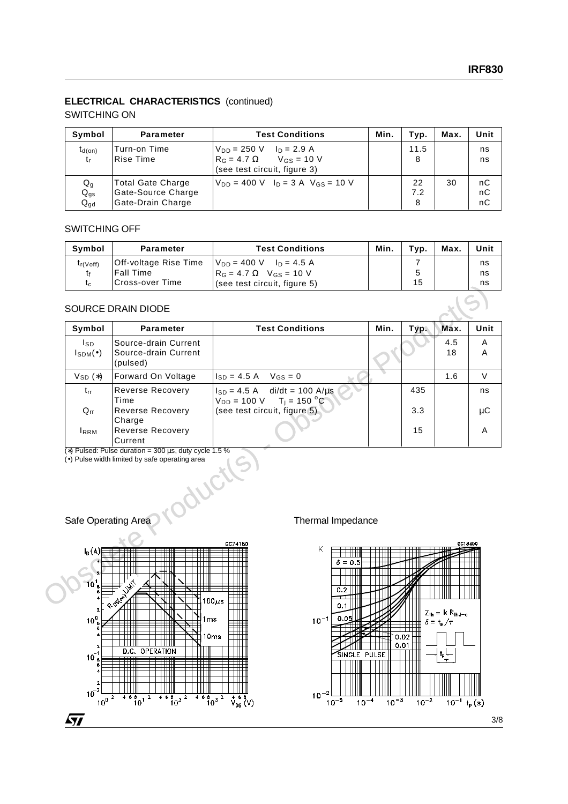# **ELECTRICAL CHARACTERISTICS** (continued)

### SWITCHING ON

| Symbol                        | <b>Parameter</b>                                                    | <b>Test Conditions</b>                                                                                                           | Min. | Typ.           | Max. | Unit           |
|-------------------------------|---------------------------------------------------------------------|----------------------------------------------------------------------------------------------------------------------------------|------|----------------|------|----------------|
| $t_{d(on)}$<br>t <sub>r</sub> | Turn-on Time<br>Rise Time                                           | $V_{DD} = 250 \text{ V}$ $I_D = 2.9 \text{ A}$<br>$V$ <sub>GS</sub> = 10 V<br>$R_G = 4.7 \Omega$<br>(see test circuit, figure 3) |      | 11.5<br>8      |      | ns<br>ns       |
| Qg<br>$Q_{gs}$<br>$Q_{gd}$    | <b>Total Gate Charge</b><br>Gate-Source Charge<br>Gate-Drain Charge | $V_{DD} = 400$ V $I_D = 3$ A $V_{GS} = 10$ V                                                                                     |      | 22<br>7.2<br>8 | 30   | nC<br>nC<br>nC |

## SWITCHING OFF

| Symbol        | <b>Parameter</b>      | <b>Test Conditions</b>                         | Min. | Tvp. | Max. | Unit |
|---------------|-----------------------|------------------------------------------------|------|------|------|------|
| $t_{r(Voff)}$ | Off-voltage Rise Time | $V_{DD} = 400 \text{ V}$ $I_D = 4.5 \text{ A}$ |      |      |      | ns   |
|               | <b>Fall Time</b>      | $R_G = 4.7 \Omega$ V <sub>GS</sub> = 10 V      |      |      |      | ns   |
| τc.           | 'Cross-over Time      | (see test circuit, figure 5)                   |      | 15   |      | ns   |

## SOURCE DRAIN DIODE

| ιc                               | סוווו וסעט-פגטוט                                                                                                         | (SEE LEST CITUUM, HYUTE 3)                                                            |      | ιv   |           | 110    |
|----------------------------------|--------------------------------------------------------------------------------------------------------------------------|---------------------------------------------------------------------------------------|------|------|-----------|--------|
|                                  | <b>SOURCE DRAIN DIODE</b>                                                                                                |                                                                                       |      |      |           |        |
| Symbol                           | <b>Parameter</b>                                                                                                         | <b>Test Conditions</b>                                                                | Min. | Typ. | Max.      | Unit   |
| lsp<br>$I_{\text{SDM}}(\bullet)$ | Source-drain Current<br>Source-drain Current<br>(pulsed)                                                                 |                                                                                       |      |      | 4.5<br>18 | A<br>A |
| $V_{SD}(*)$                      | Forward On Voltage                                                                                                       | $V$ <sub>GS</sub> = 0<br>$I_{SD} = 4.5 A$                                             |      |      | 1.6       | $\vee$ |
| $t_{rr}$                         | <b>Reverse Recovery</b><br>Time                                                                                          | $I_{SD} = 4.5$ A di/dt = 100 A/us<br>$V_{DD} = 100 \text{ V}$ T <sub>j</sub> = 150 °C |      | 435  |           | ns     |
| $Q_{rr}$                         | Reverse Recovery<br>Charge                                                                                               | (see test circuit, figure 5)                                                          |      | 3.3  |           | μC     |
| <b>IRRM</b>                      | Reverse Recovery<br>Current                                                                                              |                                                                                       |      | 15   |           | A      |
| Safe Operating Area              | (*) Pulsed: Pulse duration = $300 \,\mu s$ , duty cycle 1.5 %<br>(•) Pulse width limited by safe operating area<br>oduct | Thermal Impedance                                                                     |      |      |           |        |
|                                  |                                                                                                                          |                                                                                       |      |      |           |        |
| $I_D(A)$<br>$10^1$ <sub>8</sub>  | OSION                                                                                                                    | GC74180<br>K.<br>$\delta = 0.5$<br>0.2<br>100 $\mu$ s<br>0.1                          |      |      | GC18400   |        |

#### Safe Operating Area New York Thermal Impedance



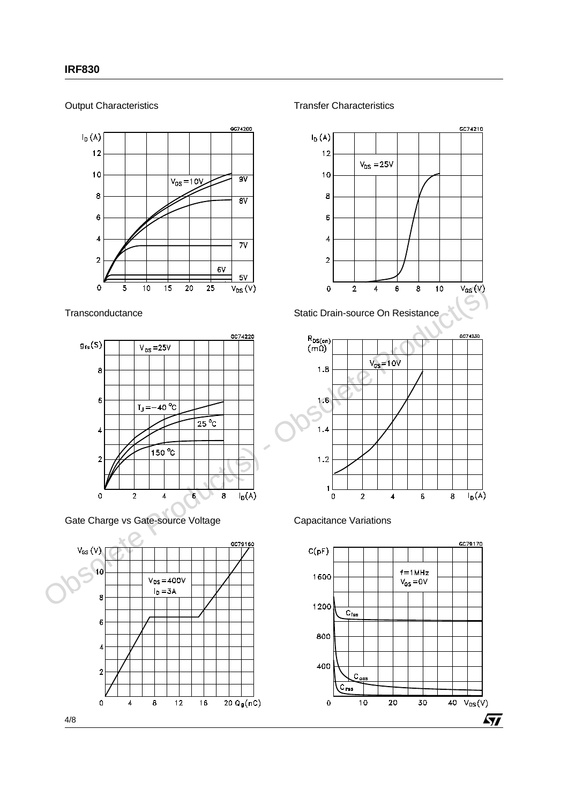Output Characteristics



**Transconductance** 



Gate Charge vs Gate-source Voltage



Transfer Characteristics







Capacitance Variations

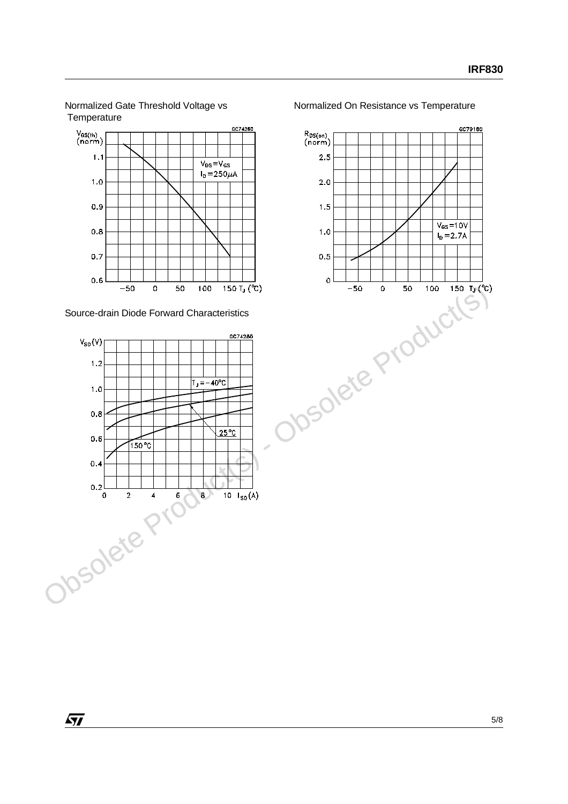Normalized Gate Threshold Voltage vs **Temperature** 



Source-drain Diode Forward Characteristics





Normalized On Resistance vs Temperature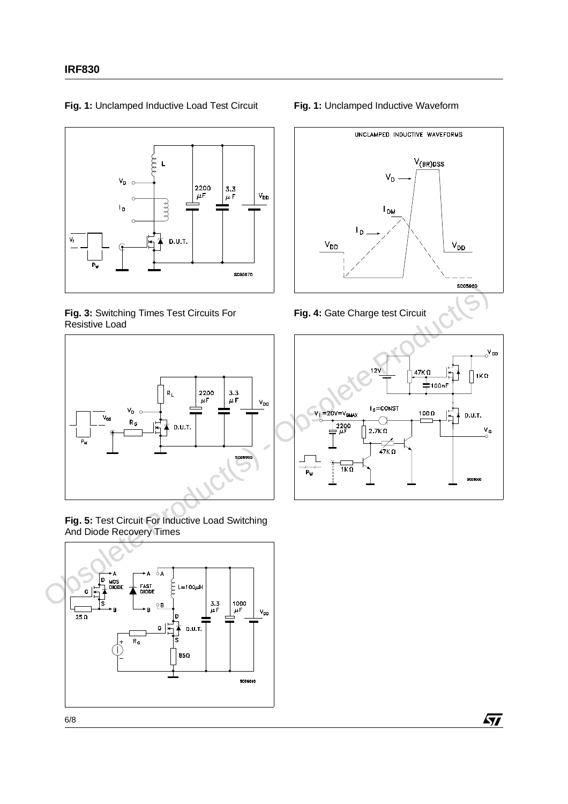

**Fig. 1:** Unclamped Inductive Load Test Circuit

#### **Fig. 3:** Switching Times Test Circuits For Resistive Load



**Fig. 5:** Test Circuit For Inductive Load Switching And Diode Recovery Times



#### **Fig. 1:** Unclamped Inductive Waveform







 $\sqrt{27}$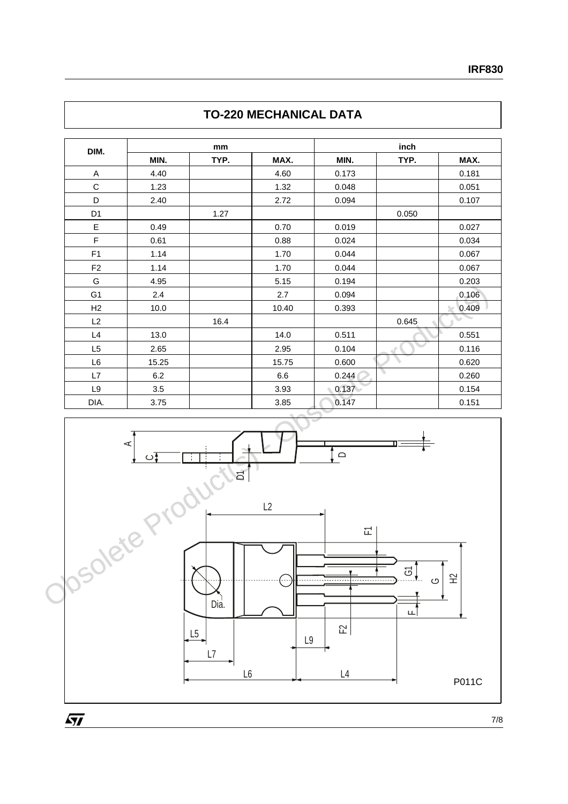| DIM.           |       | mm   |       |       | inch  |       |  |  |
|----------------|-------|------|-------|-------|-------|-------|--|--|
|                | MIN.  | TYP. | MAX.  | MIN.  | TYP.  | MAX.  |  |  |
| Α              | 4.40  |      | 4.60  | 0.173 |       | 0.181 |  |  |
| $\mathbf C$    | 1.23  |      | 1.32  | 0.048 |       | 0.051 |  |  |
| D              | 2.40  |      | 2.72  | 0.094 |       | 0.107 |  |  |
| D <sub>1</sub> |       | 1.27 |       |       | 0.050 |       |  |  |
| E              | 0.49  |      | 0.70  | 0.019 |       | 0.027 |  |  |
| F              | 0.61  |      | 0.88  | 0.024 |       | 0.034 |  |  |
| F1             | 1.14  |      | 1.70  | 0.044 |       | 0.067 |  |  |
| F <sub>2</sub> | 1.14  |      | 1.70  | 0.044 |       | 0.067 |  |  |
| G              | 4.95  |      | 5.15  | 0.194 |       | 0.203 |  |  |
| G <sub>1</sub> | 2.4   |      | 2.7   | 0.094 |       | 0.106 |  |  |
| H2             | 10.0  |      | 10.40 | 0.393 |       | 0.409 |  |  |
| L2             |       | 16.4 |       |       | 0.645 |       |  |  |
| L4             | 13.0  |      | 14.0  | 0.511 |       | 0.551 |  |  |
| L <sub>5</sub> | 2.65  |      | 2.95  | 0.104 |       | 0.116 |  |  |
| L <sub>6</sub> | 15.25 |      | 15.75 | 0.600 |       | 0.620 |  |  |
| L7             | 6.2   |      | 6.6   | 0.244 | ╲     | 0.260 |  |  |
| L9             | 3.5   |      | 3.93  | 0.137 |       | 0.154 |  |  |
| DIA.           | 3.75  |      | 3.85  | 0.147 |       | 0.151 |  |  |





 $\overline{SI}$ 

7/8